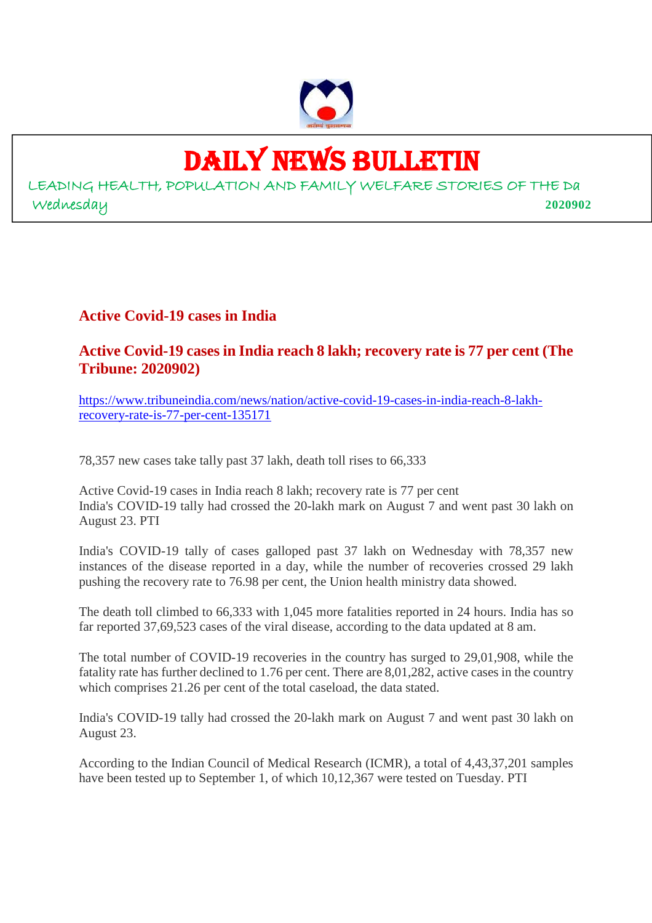

## DAILY NEWS BULLETIN

LEADING HEALTH, POPULATION AND FAMILY WELFARE STORIES OF THE Da Wednesday **2020902**

**Active Covid-19 cases in India**

#### **Active Covid-19 cases in India reach 8 lakh; recovery rate is 77 per cent (The Tribune: 2020902)**

https://www.tribuneindia.com/news/nation/active-covid-19-cases-in-india-reach-8-lakhrecovery-rate-is-77-per-cent-135171

78,357 new cases take tally past 37 lakh, death toll rises to 66,333

Active Covid-19 cases in India reach 8 lakh; recovery rate is 77 per cent India's COVID-19 tally had crossed the 20-lakh mark on August 7 and went past 30 lakh on August 23. PTI

India's COVID-19 tally of cases galloped past 37 lakh on Wednesday with 78,357 new instances of the disease reported in a day, while the number of recoveries crossed 29 lakh pushing the recovery rate to 76.98 per cent, the Union health ministry data showed.

The death toll climbed to 66,333 with 1,045 more fatalities reported in 24 hours. India has so far reported 37,69,523 cases of the viral disease, according to the data updated at 8 am.

The total number of COVID-19 recoveries in the country has surged to 29,01,908, while the fatality rate has further declined to 1.76 per cent. There are 8,01,282, active cases in the country which comprises 21.26 per cent of the total caseload, the data stated.

India's COVID-19 tally had crossed the 20-lakh mark on August 7 and went past 30 lakh on August 23.

According to the Indian Council of Medical Research (ICMR), a total of 4,43,37,201 samples have been tested up to September 1, of which 10,12,367 were tested on Tuesday. PTI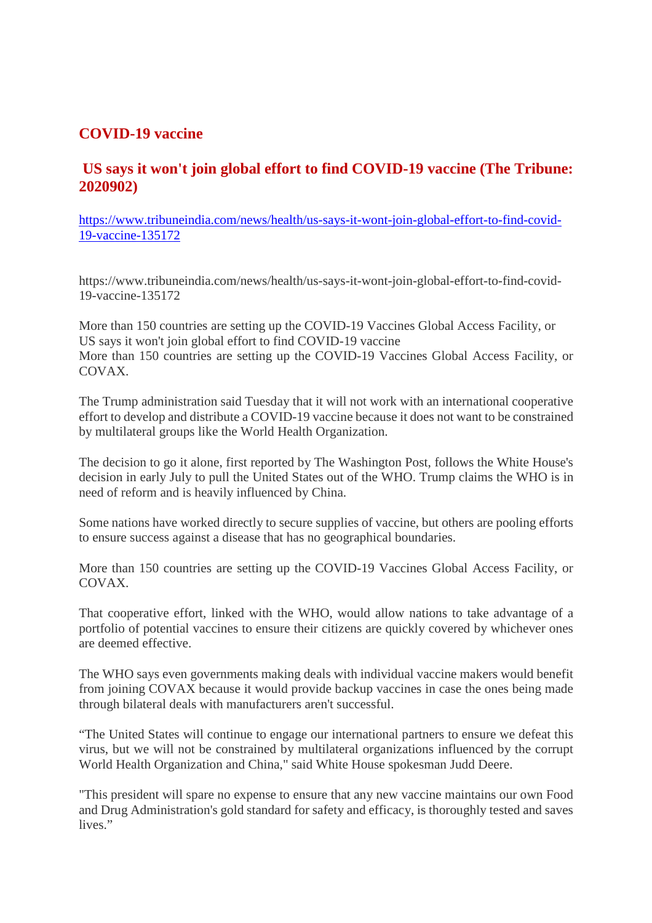#### **COVID-19 vaccine**

#### **US says it won't join global effort to find COVID-19 vaccine (The Tribune: 2020902)**

https://www.tribuneindia.com/news/health/us-says-it-wont-join-global-effort-to-find-covid-19-vaccine-135172

https://www.tribuneindia.com/news/health/us-says-it-wont-join-global-effort-to-find-covid-19-vaccine-135172

More than 150 countries are setting up the COVID-19 Vaccines Global Access Facility, or US says it won't join global effort to find COVID-19 vaccine More than 150 countries are setting up the COVID-19 Vaccines Global Access Facility, or COVAX.

The Trump administration said Tuesday that it will not work with an international cooperative effort to develop and distribute a COVID-19 vaccine because it does not want to be constrained by multilateral groups like the World Health Organization.

The decision to go it alone, first reported by The Washington Post, follows the White House's decision in early July to pull the United States out of the WHO. Trump claims the WHO is in need of reform and is heavily influenced by China.

Some nations have worked directly to secure supplies of vaccine, but others are pooling efforts to ensure success against a disease that has no geographical boundaries.

More than 150 countries are setting up the COVID-19 Vaccines Global Access Facility, or COVAX.

That cooperative effort, linked with the WHO, would allow nations to take advantage of a portfolio of potential vaccines to ensure their citizens are quickly covered by whichever ones are deemed effective.

The WHO says even governments making deals with individual vaccine makers would benefit from joining COVAX because it would provide backup vaccines in case the ones being made through bilateral deals with manufacturers aren't successful.

"The United States will continue to engage our international partners to ensure we defeat this virus, but we will not be constrained by multilateral organizations influenced by the corrupt World Health Organization and China," said White House spokesman Judd Deere.

"This president will spare no expense to ensure that any new vaccine maintains our own Food and Drug Administration's gold standard for safety and efficacy, is thoroughly tested and saves lives."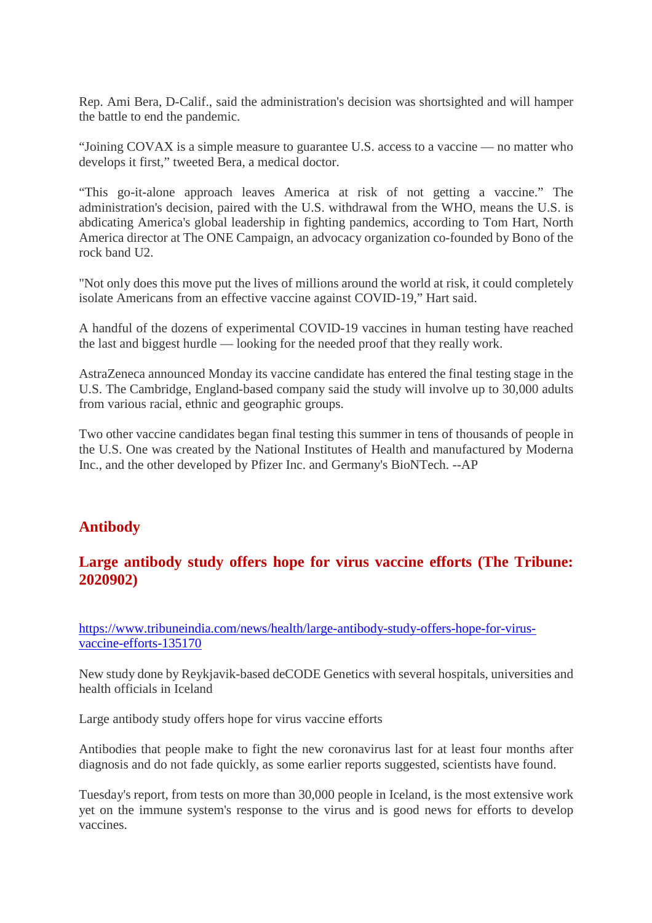Rep. Ami Bera, D-Calif., said the administration's decision was shortsighted and will hamper the battle to end the pandemic.

"Joining COVAX is a simple measure to guarantee U.S. access to a vaccine — no matter who develops it first," tweeted Bera, a medical doctor.

"This go-it-alone approach leaves America at risk of not getting a vaccine." The administration's decision, paired with the U.S. withdrawal from the WHO, means the U.S. is abdicating America's global leadership in fighting pandemics, according to Tom Hart, North America director at The ONE Campaign, an advocacy organization co-founded by Bono of the rock band U2.

"Not only does this move put the lives of millions around the world at risk, it could completely isolate Americans from an effective vaccine against COVID-19," Hart said.

A handful of the dozens of experimental COVID-19 vaccines in human testing have reached the last and biggest hurdle — looking for the needed proof that they really work.

AstraZeneca announced Monday its vaccine candidate has entered the final testing stage in the U.S. The Cambridge, England-based company said the study will involve up to 30,000 adults from various racial, ethnic and geographic groups.

Two other vaccine candidates began final testing this summer in tens of thousands of people in the U.S. One was created by the National Institutes of Health and manufactured by Moderna Inc., and the other developed by Pfizer Inc. and Germany's BioNTech. --AP

#### **Antibody**

#### **Large antibody study offers hope for virus vaccine efforts (The Tribune: 2020902)**

https://www.tribuneindia.com/news/health/large-antibody-study-offers-hope-for-virusvaccine-efforts-135170

New study done by Reykjavik-based deCODE Genetics with several hospitals, universities and health officials in Iceland

Large antibody study offers hope for virus vaccine efforts

Antibodies that people make to fight the new coronavirus last for at least four months after diagnosis and do not fade quickly, as some earlier reports suggested, scientists have found.

Tuesday's report, from tests on more than 30,000 people in Iceland, is the most extensive work yet on the immune system's response to the virus and is good news for efforts to develop vaccines.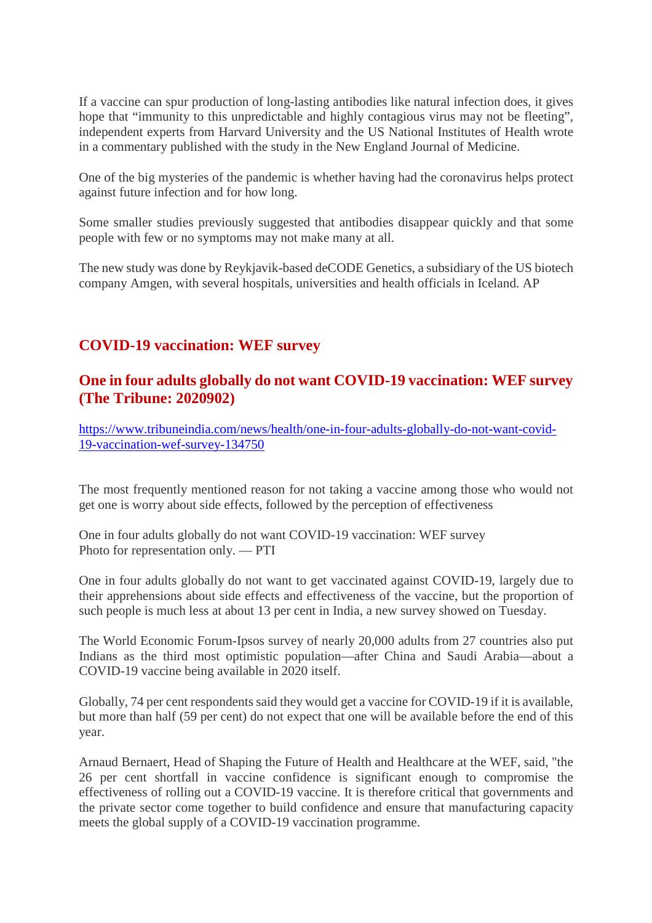If a vaccine can spur production of long-lasting antibodies like natural infection does, it gives hope that "immunity to this unpredictable and highly contagious virus may not be fleeting", independent experts from Harvard University and the US National Institutes of Health wrote in a commentary published with the study in the New England Journal of Medicine.

One of the big mysteries of the pandemic is whether having had the coronavirus helps protect against future infection and for how long.

Some smaller studies previously suggested that antibodies disappear quickly and that some people with few or no symptoms may not make many at all.

The new study was done by Reykjavik-based deCODE Genetics, a subsidiary of the US biotech company Amgen, with several hospitals, universities and health officials in Iceland. AP

#### **COVID-19 vaccination: WEF survey**

#### **One in four adults globally do not want COVID-19 vaccination: WEF survey (The Tribune: 2020902)**

https://www.tribuneindia.com/news/health/one-in-four-adults-globally-do-not-want-covid-19-vaccination-wef-survey-134750

The most frequently mentioned reason for not taking a vaccine among those who would not get one is worry about side effects, followed by the perception of effectiveness

One in four adults globally do not want COVID-19 vaccination: WEF survey Photo for representation only. — PTI

One in four adults globally do not want to get vaccinated against COVID-19, largely due to their apprehensions about side effects and effectiveness of the vaccine, but the proportion of such people is much less at about 13 per cent in India, a new survey showed on Tuesday.

The World Economic Forum-Ipsos survey of nearly 20,000 adults from 27 countries also put Indians as the third most optimistic population—after China and Saudi Arabia—about a COVID-19 vaccine being available in 2020 itself.

Globally, 74 per cent respondents said they would get a vaccine for COVID-19 if it is available, but more than half (59 per cent) do not expect that one will be available before the end of this year.

Arnaud Bernaert, Head of Shaping the Future of Health and Healthcare at the WEF, said, "the 26 per cent shortfall in vaccine confidence is significant enough to compromise the effectiveness of rolling out a COVID-19 vaccine. It is therefore critical that governments and the private sector come together to build confidence and ensure that manufacturing capacity meets the global supply of a COVID-19 vaccination programme.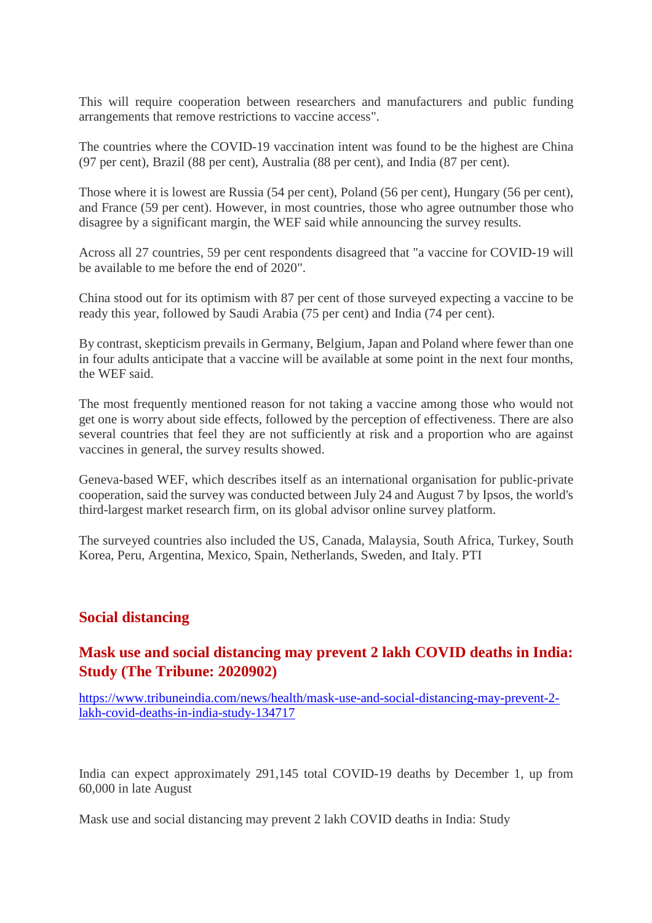This will require cooperation between researchers and manufacturers and public funding arrangements that remove restrictions to vaccine access".

The countries where the COVID-19 vaccination intent was found to be the highest are China (97 per cent), Brazil (88 per cent), Australia (88 per cent), and India (87 per cent).

Those where it is lowest are Russia (54 per cent), Poland (56 per cent), Hungary (56 per cent), and France (59 per cent). However, in most countries, those who agree outnumber those who disagree by a significant margin, the WEF said while announcing the survey results.

Across all 27 countries, 59 per cent respondents disagreed that "a vaccine for COVID-19 will be available to me before the end of 2020".

China stood out for its optimism with 87 per cent of those surveyed expecting a vaccine to be ready this year, followed by Saudi Arabia (75 per cent) and India (74 per cent).

By contrast, skepticism prevails in Germany, Belgium, Japan and Poland where fewer than one in four adults anticipate that a vaccine will be available at some point in the next four months, the WEF said.

The most frequently mentioned reason for not taking a vaccine among those who would not get one is worry about side effects, followed by the perception of effectiveness. There are also several countries that feel they are not sufficiently at risk and a proportion who are against vaccines in general, the survey results showed.

Geneva-based WEF, which describes itself as an international organisation for public-private cooperation, said the survey was conducted between July 24 and August 7 by Ipsos, the world's third-largest market research firm, on its global advisor online survey platform.

The surveyed countries also included the US, Canada, Malaysia, South Africa, Turkey, South Korea, Peru, Argentina, Mexico, Spain, Netherlands, Sweden, and Italy. PTI

#### **Social distancing**

#### **Mask use and social distancing may prevent 2 lakh COVID deaths in India: Study (The Tribune: 2020902)**

https://www.tribuneindia.com/news/health/mask-use-and-social-distancing-may-prevent-2 lakh-covid-deaths-in-india-study-134717

India can expect approximately 291,145 total COVID-19 deaths by December 1, up from 60,000 in late August

Mask use and social distancing may prevent 2 lakh COVID deaths in India: Study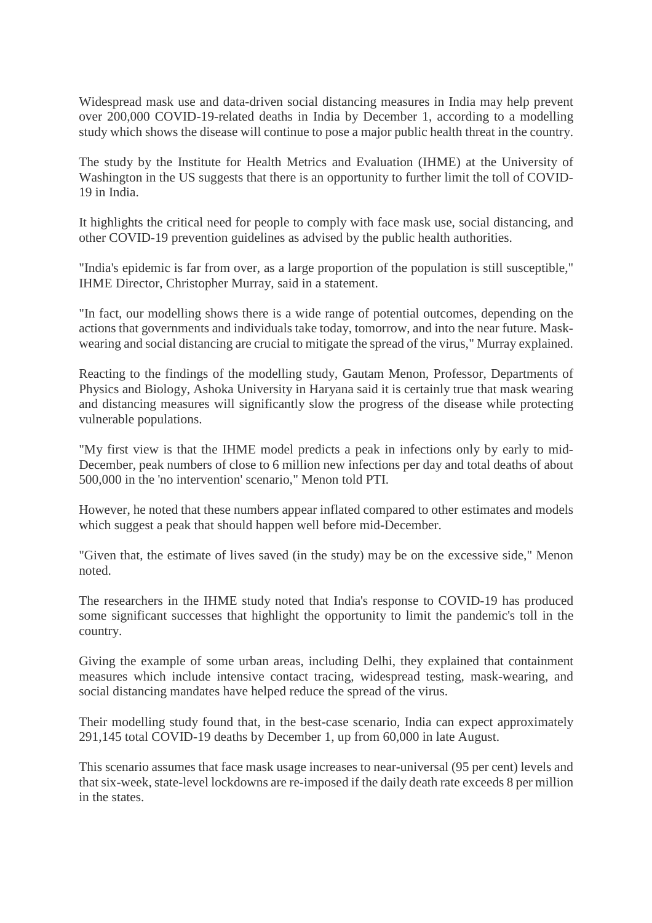Widespread mask use and data-driven social distancing measures in India may help prevent over 200,000 COVID-19-related deaths in India by December 1, according to a modelling study which shows the disease will continue to pose a major public health threat in the country.

The study by the Institute for Health Metrics and Evaluation (IHME) at the University of Washington in the US suggests that there is an opportunity to further limit the toll of COVID-19 in India.

It highlights the critical need for people to comply with face mask use, social distancing, and other COVID-19 prevention guidelines as advised by the public health authorities.

"India's epidemic is far from over, as a large proportion of the population is still susceptible," IHME Director, Christopher Murray, said in a statement.

"In fact, our modelling shows there is a wide range of potential outcomes, depending on the actions that governments and individuals take today, tomorrow, and into the near future. Maskwearing and social distancing are crucial to mitigate the spread of the virus," Murray explained.

Reacting to the findings of the modelling study, Gautam Menon, Professor, Departments of Physics and Biology, Ashoka University in Haryana said it is certainly true that mask wearing and distancing measures will significantly slow the progress of the disease while protecting vulnerable populations.

"My first view is that the IHME model predicts a peak in infections only by early to mid-December, peak numbers of close to 6 million new infections per day and total deaths of about 500,000 in the 'no intervention' scenario," Menon told PTI.

However, he noted that these numbers appear inflated compared to other estimates and models which suggest a peak that should happen well before mid-December.

"Given that, the estimate of lives saved (in the study) may be on the excessive side," Menon noted.

The researchers in the IHME study noted that India's response to COVID-19 has produced some significant successes that highlight the opportunity to limit the pandemic's toll in the country.

Giving the example of some urban areas, including Delhi, they explained that containment measures which include intensive contact tracing, widespread testing, mask-wearing, and social distancing mandates have helped reduce the spread of the virus.

Their modelling study found that, in the best-case scenario, India can expect approximately 291,145 total COVID-19 deaths by December 1, up from 60,000 in late August.

This scenario assumes that face mask usage increases to near-universal (95 per cent) levels and that six-week, state-level lockdowns are re-imposed if the daily death rate exceeds 8 per million in the states.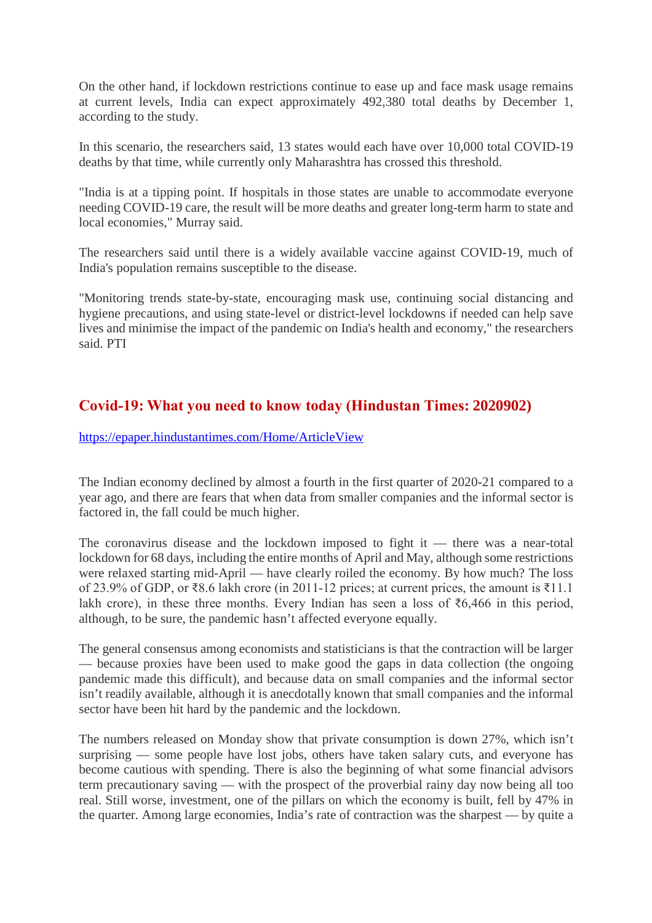On the other hand, if lockdown restrictions continue to ease up and face mask usage remains at current levels, India can expect approximately 492,380 total deaths by December 1, according to the study.

In this scenario, the researchers said, 13 states would each have over 10,000 total COVID-19 deaths by that time, while currently only Maharashtra has crossed this threshold.

"India is at a tipping point. If hospitals in those states are unable to accommodate everyone needing COVID-19 care, the result will be more deaths and greater long-term harm to state and local economies," Murray said.

The researchers said until there is a widely available vaccine against COVID-19, much of India's population remains susceptible to the disease.

"Monitoring trends state-by-state, encouraging mask use, continuing social distancing and hygiene precautions, and using state-level or district-level lockdowns if needed can help save lives and minimise the impact of the pandemic on India's health and economy," the researchers said. PTI

#### **Covid-19: What you need to know today (Hindustan Times: 2020902)**

https://epaper.hindustantimes.com/Home/ArticleView

The Indian economy declined by almost a fourth in the first quarter of 2020-21 compared to a year ago, and there are fears that when data from smaller companies and the informal sector is factored in, the fall could be much higher.

The coronavirus disease and the lockdown imposed to fight it — there was a near-total lockdown for 68 days, including the entire months of April and May, although some restrictions were relaxed starting mid-April — have clearly roiled the economy. By how much? The loss of 23.9% of GDP, or ₹8.6 lakh crore (in 2011-12 prices; at current prices, the amount is ₹11.1 lakh crore), in these three months. Every Indian has seen a loss of ₹6,466 in this period, although, to be sure, the pandemic hasn't affected everyone equally.

The general consensus among economists and statisticians is that the contraction will be larger — because proxies have been used to make good the gaps in data collection (the ongoing pandemic made this difficult), and because data on small companies and the informal sector isn't readily available, although it is anecdotally known that small companies and the informal sector have been hit hard by the pandemic and the lockdown.

The numbers released on Monday show that private consumption is down 27%, which isn't surprising — some people have lost jobs, others have taken salary cuts, and everyone has become cautious with spending. There is also the beginning of what some financial advisors term precautionary saving — with the prospect of the proverbial rainy day now being all too real. Still worse, investment, one of the pillars on which the economy is built, fell by 47% in the quarter. Among large economies, India's rate of contraction was the sharpest — by quite a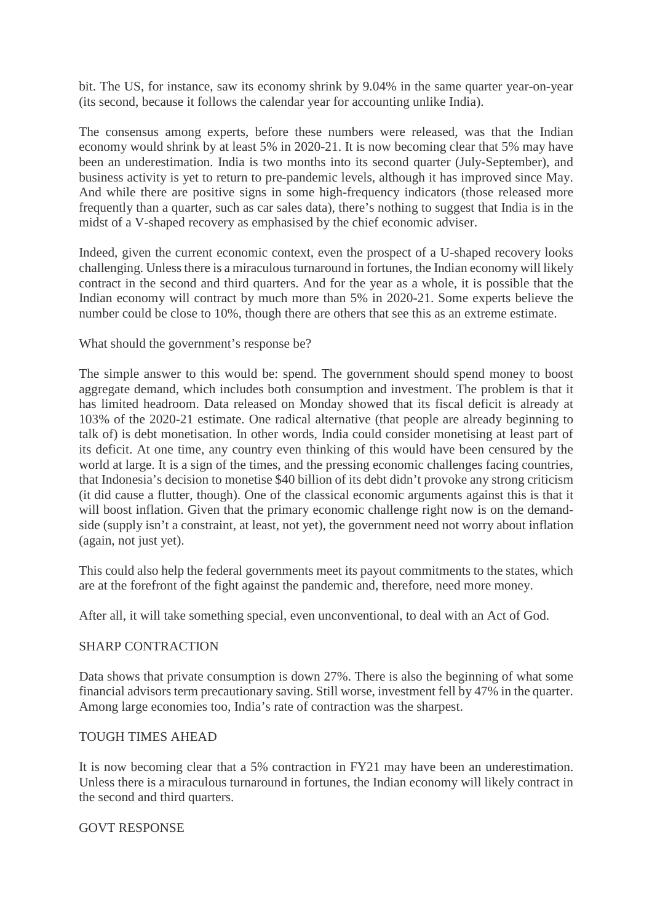bit. The US, for instance, saw its economy shrink by 9.04% in the same quarter year-on-year (its second, because it follows the calendar year for accounting unlike India).

The consensus among experts, before these numbers were released, was that the Indian economy would shrink by at least 5% in 2020-21. It is now becoming clear that 5% may have been an underestimation. India is two months into its second quarter (July-September), and business activity is yet to return to pre-pandemic levels, although it has improved since May. And while there are positive signs in some high-frequency indicators (those released more frequently than a quarter, such as car sales data), there's nothing to suggest that India is in the midst of a V-shaped recovery as emphasised by the chief economic adviser.

Indeed, given the current economic context, even the prospect of a U-shaped recovery looks challenging. Unless there is a miraculous turnaround in fortunes, the Indian economy will likely contract in the second and third quarters. And for the year as a whole, it is possible that the Indian economy will contract by much more than 5% in 2020-21. Some experts believe the number could be close to 10%, though there are others that see this as an extreme estimate.

#### What should the government's response be?

The simple answer to this would be: spend. The government should spend money to boost aggregate demand, which includes both consumption and investment. The problem is that it has limited headroom. Data released on Monday showed that its fiscal deficit is already at 103% of the 2020-21 estimate. One radical alternative (that people are already beginning to talk of) is debt monetisation. In other words, India could consider monetising at least part of its deficit. At one time, any country even thinking of this would have been censured by the world at large. It is a sign of the times, and the pressing economic challenges facing countries, that Indonesia's decision to monetise \$40 billion of its debt didn't provoke any strong criticism (it did cause a flutter, though). One of the classical economic arguments against this is that it will boost inflation. Given that the primary economic challenge right now is on the demandside (supply isn't a constraint, at least, not yet), the government need not worry about inflation (again, not just yet).

This could also help the federal governments meet its payout commitments to the states, which are at the forefront of the fight against the pandemic and, therefore, need more money.

After all, it will take something special, even unconventional, to deal with an Act of God.

#### SHARP CONTRACTION

Data shows that private consumption is down 27%. There is also the beginning of what some financial advisors term precautionary saving. Still worse, investment fell by 47% in the quarter. Among large economies too, India's rate of contraction was the sharpest.

#### TOUGH TIMES AHEAD

It is now becoming clear that a 5% contraction in FY21 may have been an underestimation. Unless there is a miraculous turnaround in fortunes, the Indian economy will likely contract in the second and third quarters.

#### GOVT RESPONSE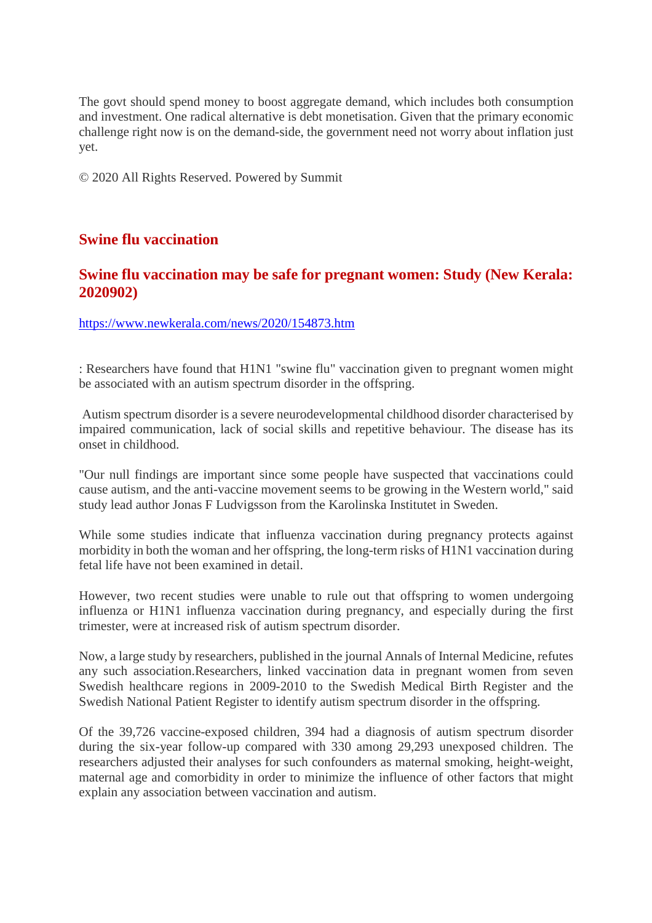The govt should spend money to boost aggregate demand, which includes both consumption and investment. One radical alternative is debt monetisation. Given that the primary economic challenge right now is on the demand-side, the government need not worry about inflation just yet.

© 2020 All Rights Reserved. Powered by Summit

#### **Swine flu vaccination**

#### **Swine flu vaccination may be safe for pregnant women: Study (New Kerala: 2020902)**

https://www.newkerala.com/news/2020/154873.htm

: Researchers have found that H1N1 "swine flu" vaccination given to pregnant women might be associated with an autism spectrum disorder in the offspring.

Autism spectrum disorder is a severe neurodevelopmental childhood disorder characterised by impaired communication, lack of social skills and repetitive behaviour. The disease has its onset in childhood.

"Our null findings are important since some people have suspected that vaccinations could cause autism, and the anti-vaccine movement seems to be growing in the Western world," said study lead author Jonas F Ludvigsson from the Karolinska Institutet in Sweden.

While some studies indicate that influenza vaccination during pregnancy protects against morbidity in both the woman and her offspring, the long-term risks of H1N1 vaccination during fetal life have not been examined in detail.

However, two recent studies were unable to rule out that offspring to women undergoing influenza or H1N1 influenza vaccination during pregnancy, and especially during the first trimester, were at increased risk of autism spectrum disorder.

Now, a large study by researchers, published in the journal Annals of Internal Medicine, refutes any such association.Researchers, linked vaccination data in pregnant women from seven Swedish healthcare regions in 2009-2010 to the Swedish Medical Birth Register and the Swedish National Patient Register to identify autism spectrum disorder in the offspring.

Of the 39,726 vaccine-exposed children, 394 had a diagnosis of autism spectrum disorder during the six-year follow-up compared with 330 among 29,293 unexposed children. The researchers adjusted their analyses for such confounders as maternal smoking, height-weight, maternal age and comorbidity in order to minimize the influence of other factors that might explain any association between vaccination and autism.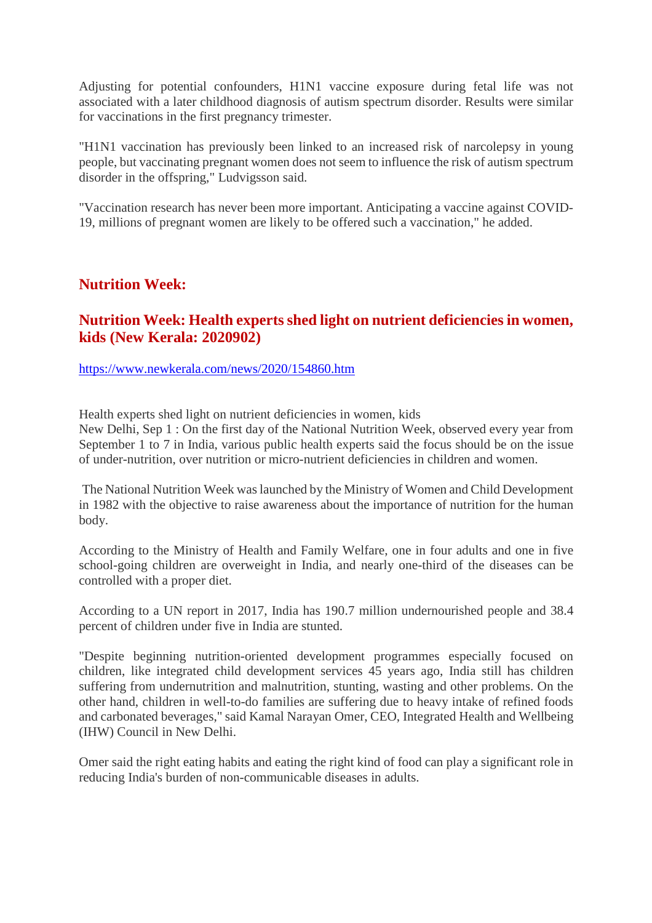Adjusting for potential confounders, H1N1 vaccine exposure during fetal life was not associated with a later childhood diagnosis of autism spectrum disorder. Results were similar for vaccinations in the first pregnancy trimester.

"H1N1 vaccination has previously been linked to an increased risk of narcolepsy in young people, but vaccinating pregnant women does not seem to influence the risk of autism spectrum disorder in the offspring," Ludvigsson said.

"Vaccination research has never been more important. Anticipating a vaccine against COVID-19, millions of pregnant women are likely to be offered such a vaccination," he added.

#### **Nutrition Week:**

#### **Nutrition Week: Health experts shed light on nutrient deficiencies in women, kids (New Kerala: 2020902)**

https://www.newkerala.com/news/2020/154860.htm

Health experts shed light on nutrient deficiencies in women, kids

New Delhi, Sep 1 : On the first day of the National Nutrition Week, observed every year from September 1 to 7 in India, various public health experts said the focus should be on the issue of under-nutrition, over nutrition or micro-nutrient deficiencies in children and women.

The National Nutrition Week was launched by the Ministry of Women and Child Development in 1982 with the objective to raise awareness about the importance of nutrition for the human body.

According to the Ministry of Health and Family Welfare, one in four adults and one in five school-going children are overweight in India, and nearly one-third of the diseases can be controlled with a proper diet.

According to a UN report in 2017, India has 190.7 million undernourished people and 38.4 percent of children under five in India are stunted.

"Despite beginning nutrition-oriented development programmes especially focused on children, like integrated child development services 45 years ago, India still has children suffering from undernutrition and malnutrition, stunting, wasting and other problems. On the other hand, children in well-to-do families are suffering due to heavy intake of refined foods and carbonated beverages," said Kamal Narayan Omer, CEO, Integrated Health and Wellbeing (IHW) Council in New Delhi.

Omer said the right eating habits and eating the right kind of food can play a significant role in reducing India's burden of non-communicable diseases in adults.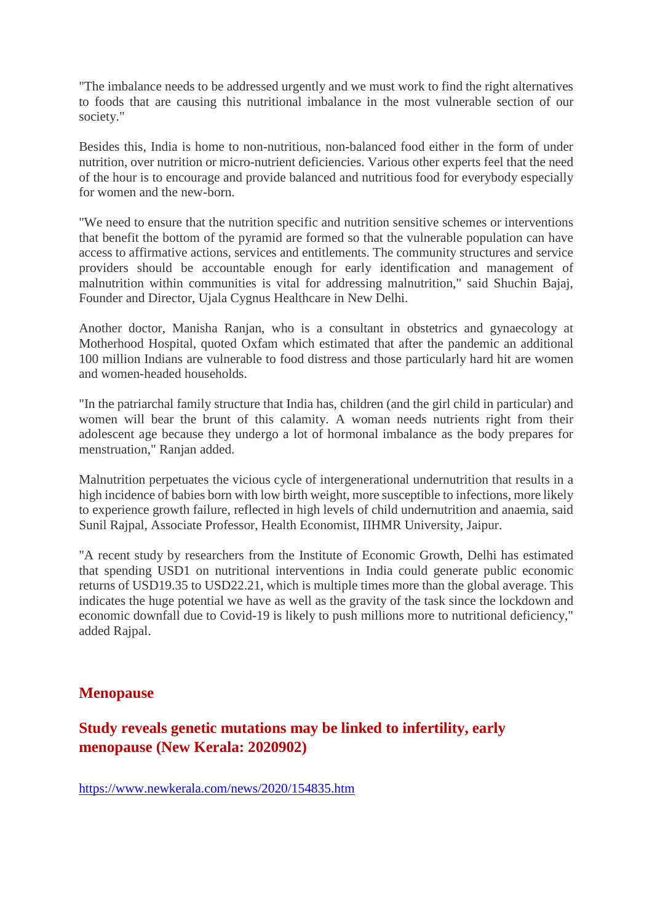"The imbalance needs to be addressed urgently and we must work to find the right alternatives to foods that are causing this nutritional imbalance in the most vulnerable section of our society."

Besides this, India is home to non-nutritious, non-balanced food either in the form of under nutrition, over nutrition or micro-nutrient deficiencies. Various other experts feel that the need of the hour is to encourage and provide balanced and nutritious food for everybody especially for women and the new-born.

"We need to ensure that the nutrition specific and nutrition sensitive schemes or interventions that benefit the bottom of the pyramid are formed so that the vulnerable population can have access to affirmative actions, services and entitlements. The community structures and service providers should be accountable enough for early identification and management of malnutrition within communities is vital for addressing malnutrition," said Shuchin Bajaj, Founder and Director, Ujala Cygnus Healthcare in New Delhi.

Another doctor, Manisha Ranjan, who is a consultant in obstetrics and gynaecology at Motherhood Hospital, quoted Oxfam which estimated that after the pandemic an additional 100 million Indians are vulnerable to food distress and those particularly hard hit are women and women-headed households.

"In the patriarchal family structure that India has, children (and the girl child in particular) and women will bear the brunt of this calamity. A woman needs nutrients right from their adolescent age because they undergo a lot of hormonal imbalance as the body prepares for menstruation," Ranjan added.

Malnutrition perpetuates the vicious cycle of intergenerational undernutrition that results in a high incidence of babies born with low birth weight, more susceptible to infections, more likely to experience growth failure, reflected in high levels of child undernutrition and anaemia, said Sunil Rajpal, Associate Professor, Health Economist, IIHMR University, Jaipur.

"A recent study by researchers from the Institute of Economic Growth, Delhi has estimated that spending USD1 on nutritional interventions in India could generate public economic returns of USD19.35 to USD22.21, which is multiple times more than the global average. This indicates the huge potential we have as well as the gravity of the task since the lockdown and economic downfall due to Covid-19 is likely to push millions more to nutritional deficiency," added Rajpal.

#### **Menopause**

#### **Study reveals genetic mutations may be linked to infertility, early menopause (New Kerala: 2020902)**

https://www.newkerala.com/news/2020/154835.htm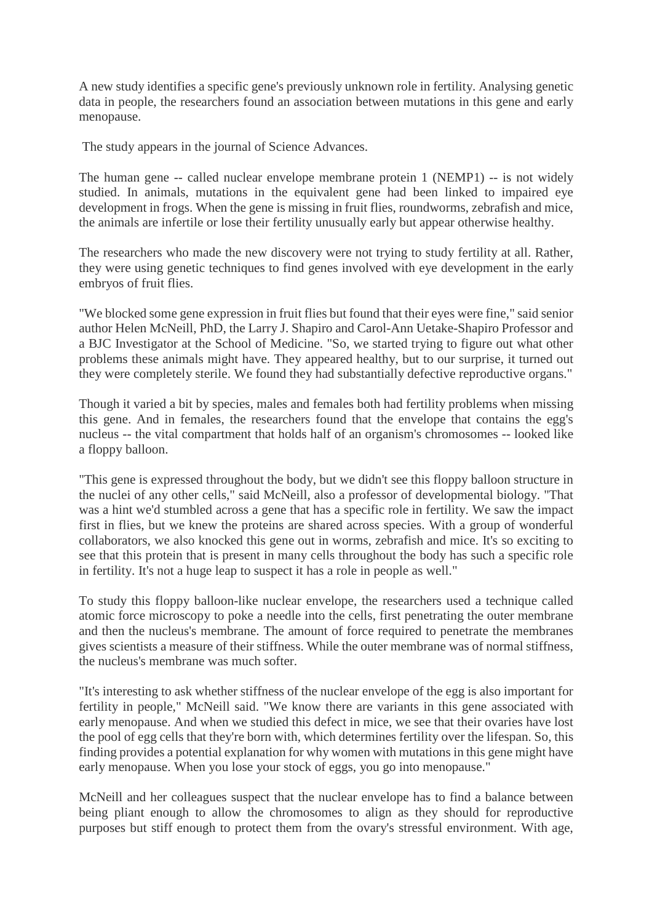A new study identifies a specific gene's previously unknown role in fertility. Analysing genetic data in people, the researchers found an association between mutations in this gene and early menopause.

The study appears in the journal of Science Advances.

The human gene -- called nuclear envelope membrane protein 1 (NEMP1) -- is not widely studied. In animals, mutations in the equivalent gene had been linked to impaired eye development in frogs. When the gene is missing in fruit flies, roundworms, zebrafish and mice, the animals are infertile or lose their fertility unusually early but appear otherwise healthy.

The researchers who made the new discovery were not trying to study fertility at all. Rather, they were using genetic techniques to find genes involved with eye development in the early embryos of fruit flies.

"We blocked some gene expression in fruit flies but found that their eyes were fine," said senior author Helen McNeill, PhD, the Larry J. Shapiro and Carol-Ann Uetake-Shapiro Professor and a BJC Investigator at the School of Medicine. "So, we started trying to figure out what other problems these animals might have. They appeared healthy, but to our surprise, it turned out they were completely sterile. We found they had substantially defective reproductive organs."

Though it varied a bit by species, males and females both had fertility problems when missing this gene. And in females, the researchers found that the envelope that contains the egg's nucleus -- the vital compartment that holds half of an organism's chromosomes -- looked like a floppy balloon.

"This gene is expressed throughout the body, but we didn't see this floppy balloon structure in the nuclei of any other cells," said McNeill, also a professor of developmental biology. "That was a hint we'd stumbled across a gene that has a specific role in fertility. We saw the impact first in flies, but we knew the proteins are shared across species. With a group of wonderful collaborators, we also knocked this gene out in worms, zebrafish and mice. It's so exciting to see that this protein that is present in many cells throughout the body has such a specific role in fertility. It's not a huge leap to suspect it has a role in people as well."

To study this floppy balloon-like nuclear envelope, the researchers used a technique called atomic force microscopy to poke a needle into the cells, first penetrating the outer membrane and then the nucleus's membrane. The amount of force required to penetrate the membranes gives scientists a measure of their stiffness. While the outer membrane was of normal stiffness, the nucleus's membrane was much softer.

"It's interesting to ask whether stiffness of the nuclear envelope of the egg is also important for fertility in people," McNeill said. "We know there are variants in this gene associated with early menopause. And when we studied this defect in mice, we see that their ovaries have lost the pool of egg cells that they're born with, which determines fertility over the lifespan. So, this finding provides a potential explanation for why women with mutations in this gene might have early menopause. When you lose your stock of eggs, you go into menopause."

McNeill and her colleagues suspect that the nuclear envelope has to find a balance between being pliant enough to allow the chromosomes to align as they should for reproductive purposes but stiff enough to protect them from the ovary's stressful environment. With age,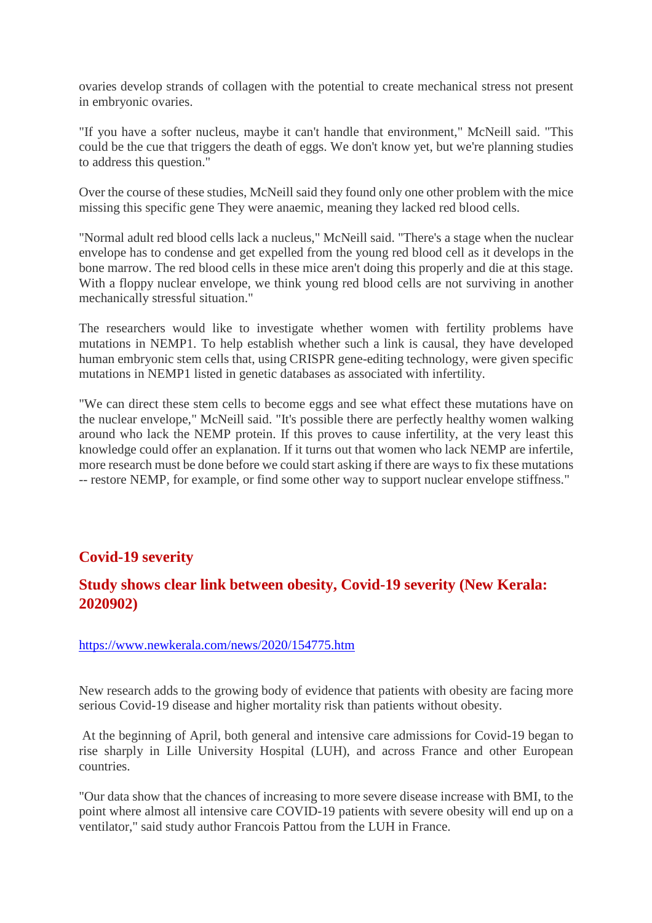ovaries develop strands of collagen with the potential to create mechanical stress not present in embryonic ovaries.

"If you have a softer nucleus, maybe it can't handle that environment," McNeill said. "This could be the cue that triggers the death of eggs. We don't know yet, but we're planning studies to address this question."

Over the course of these studies, McNeill said they found only one other problem with the mice missing this specific gene They were anaemic, meaning they lacked red blood cells.

"Normal adult red blood cells lack a nucleus," McNeill said. "There's a stage when the nuclear envelope has to condense and get expelled from the young red blood cell as it develops in the bone marrow. The red blood cells in these mice aren't doing this properly and die at this stage. With a floppy nuclear envelope, we think young red blood cells are not surviving in another mechanically stressful situation."

The researchers would like to investigate whether women with fertility problems have mutations in NEMP1. To help establish whether such a link is causal, they have developed human embryonic stem cells that, using CRISPR gene-editing technology, were given specific mutations in NEMP1 listed in genetic databases as associated with infertility.

"We can direct these stem cells to become eggs and see what effect these mutations have on the nuclear envelope," McNeill said. "It's possible there are perfectly healthy women walking around who lack the NEMP protein. If this proves to cause infertility, at the very least this knowledge could offer an explanation. If it turns out that women who lack NEMP are infertile, more research must be done before we could start asking if there are ways to fix these mutations -- restore NEMP, for example, or find some other way to support nuclear envelope stiffness."

#### **Covid-19 severity**

#### **Study shows clear link between obesity, Covid-19 severity (New Kerala: 2020902)**

#### https://www.newkerala.com/news/2020/154775.htm

New research adds to the growing body of evidence that patients with obesity are facing more serious Covid-19 disease and higher mortality risk than patients without obesity.

At the beginning of April, both general and intensive care admissions for Covid-19 began to rise sharply in Lille University Hospital (LUH), and across France and other European countries.

"Our data show that the chances of increasing to more severe disease increase with BMI, to the point where almost all intensive care COVID-19 patients with severe obesity will end up on a ventilator," said study author Francois Pattou from the LUH in France.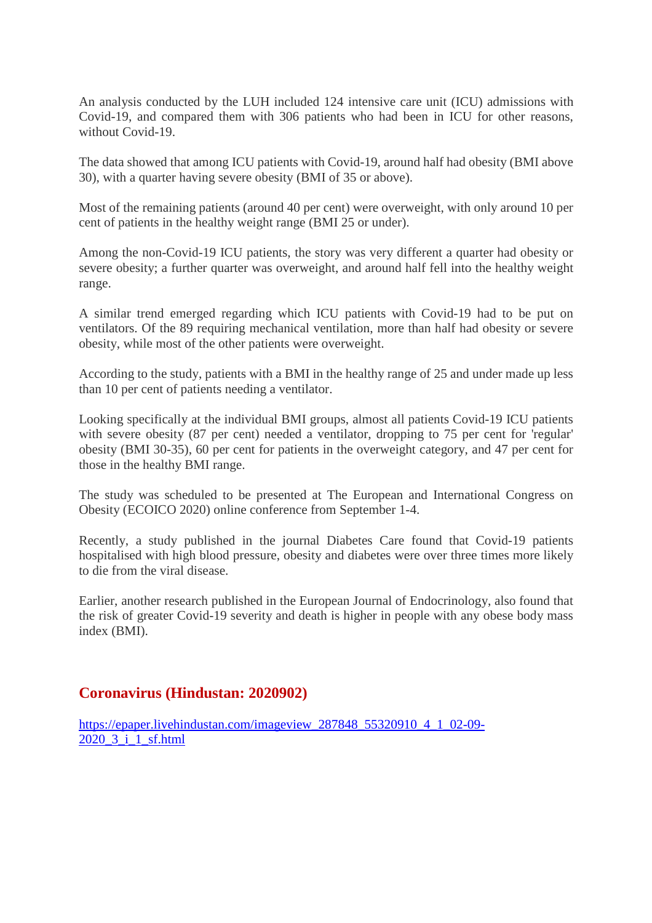An analysis conducted by the LUH included 124 intensive care unit (ICU) admissions with Covid-19, and compared them with 306 patients who had been in ICU for other reasons, without Covid-19.

The data showed that among ICU patients with Covid-19, around half had obesity (BMI above 30), with a quarter having severe obesity (BMI of 35 or above).

Most of the remaining patients (around 40 per cent) were overweight, with only around 10 per cent of patients in the healthy weight range (BMI 25 or under).

Among the non-Covid-19 ICU patients, the story was very different a quarter had obesity or severe obesity; a further quarter was overweight, and around half fell into the healthy weight range.

A similar trend emerged regarding which ICU patients with Covid-19 had to be put on ventilators. Of the 89 requiring mechanical ventilation, more than half had obesity or severe obesity, while most of the other patients were overweight.

According to the study, patients with a BMI in the healthy range of 25 and under made up less than 10 per cent of patients needing a ventilator.

Looking specifically at the individual BMI groups, almost all patients Covid-19 ICU patients with severe obesity (87 per cent) needed a ventilator, dropping to 75 per cent for 'regular' obesity (BMI 30-35), 60 per cent for patients in the overweight category, and 47 per cent for those in the healthy BMI range.

The study was scheduled to be presented at The European and International Congress on Obesity (ECOICO 2020) online conference from September 1-4.

Recently, a study published in the journal Diabetes Care found that Covid-19 patients hospitalised with high blood pressure, obesity and diabetes were over three times more likely to die from the viral disease.

Earlier, another research published in the European Journal of Endocrinology, also found that the risk of greater Covid-19 severity and death is higher in people with any obese body mass index (BMI).

#### **Coronavirus (Hindustan: 2020902)**

https://epaper.livehindustan.com/imageview\_287848\_55320910\_4\_1\_02-09- 2020\_3\_i\_1\_sf.html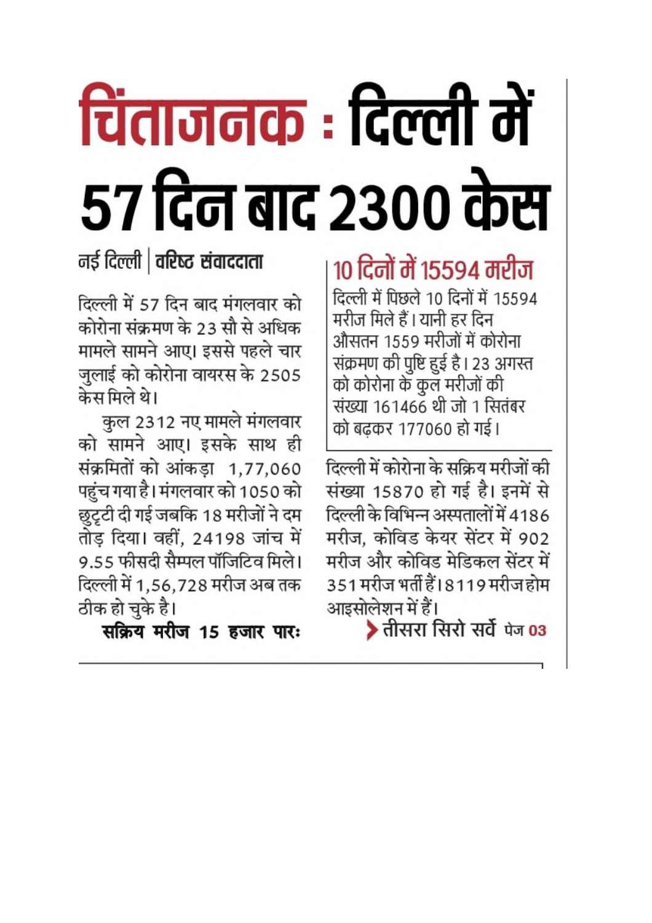# चिंताजनक : दिल्ली मे ५७ दिन बाद २३०० केस

### नई दिल्ली | वरिष्ट संवाददाता

दिल्ली में 57 दिन बाद मंगलवार को कोरोना संक्रमण के 23 सौ से अधिक मामले सामने आए। इससे पहले चार जुलाई को कोरोना वायरस के 2505 केस मिले थे।

कुल 2312 नए मामले मंगलवार को सामने आए। इसके साथ ही संक्रमितों को आंकड़ा 1,77,060 पहुंच गया है। मंगलवार को 1050 को छुटृटी दी गई जबकि 18 मरीजों ने दम तोड़ दिया। वहीं, 24198 जांच में 9.55 फीसदी सैम्पल पॉजिटिव मिले। दिल्ली में 1,56,728 मरीज अब तक ठीक हो चुके है।

सक्रिय मरीज 15 हजार पारः

## 10 दिनों में 15594 मरीज

दिल्ली में पिछले 10 दिनों में 15594 मरीज मिले हैं। यानी हर दिन औसतन 1559 मरीजों में कोरोना संक्रमण की पुष्टि हुई है। 23 अगस्त को कोरोना के कुल मरीजों की संख्या 161466 थी जो 1 सितंबर को बढकर 177060 हो गई।

दिल्ली में कोरोना के सक्रिय मरीजों की संख्या 15870 हो गई है। इनमें से दिल्ली के विभिन्न अस्पतालों में 4186 मरीज, कोविड केयर सेंटर में 902 मरीज और कोविड मेडिकल सेंटर में 351 मरीज भर्ती हैं। 8119 मरीज होम आइसोलेशन में हैं।

> तीसरा सिरो सर्वे पेज 03